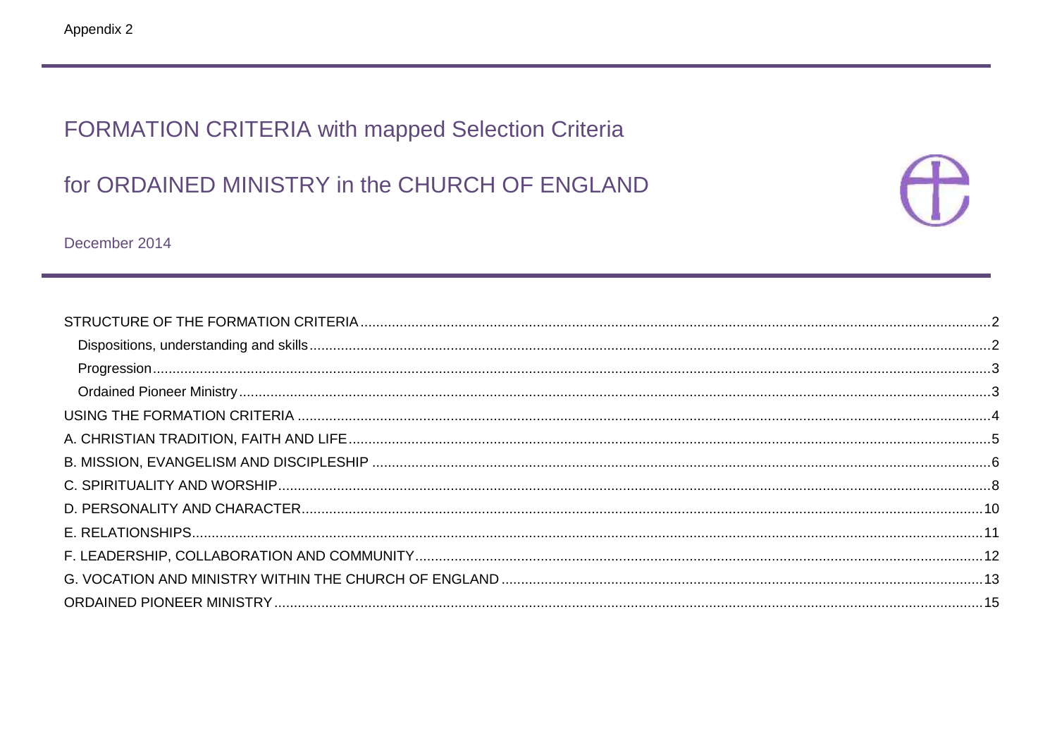# FORMATION CRITERIA with mapped Selection Criteria

# for ORDAINED MINISTRY in the CHURCH OF ENGLAND



December 2014

| $\label{eq:3} \textbf{Programs} \textbf{Programs} \textbf{1} \textbf{1} \textbf{1} \textbf{1} \textbf{1} \textbf{1} \textbf{1} \textbf{1} \textbf{1} \textbf{1} \textbf{1} \textbf{1} \textbf{1} \textbf{1} \textbf{1} \textbf{1} \textbf{1} \textbf{1} \textbf{1} \textbf{1} \textbf{1} \textbf{1} \textbf{1} \textbf{1} \textbf{1} \textbf{1} \textbf{1} \textbf{1} \textbf{1} \textbf{1} \textbf{1} \textbf{1} \textbf{1} \$ |  |
|---------------------------------------------------------------------------------------------------------------------------------------------------------------------------------------------------------------------------------------------------------------------------------------------------------------------------------------------------------------------------------------------------------------------------------|--|
|                                                                                                                                                                                                                                                                                                                                                                                                                                 |  |
|                                                                                                                                                                                                                                                                                                                                                                                                                                 |  |
|                                                                                                                                                                                                                                                                                                                                                                                                                                 |  |
|                                                                                                                                                                                                                                                                                                                                                                                                                                 |  |
|                                                                                                                                                                                                                                                                                                                                                                                                                                 |  |
|                                                                                                                                                                                                                                                                                                                                                                                                                                 |  |
|                                                                                                                                                                                                                                                                                                                                                                                                                                 |  |
|                                                                                                                                                                                                                                                                                                                                                                                                                                 |  |
|                                                                                                                                                                                                                                                                                                                                                                                                                                 |  |
|                                                                                                                                                                                                                                                                                                                                                                                                                                 |  |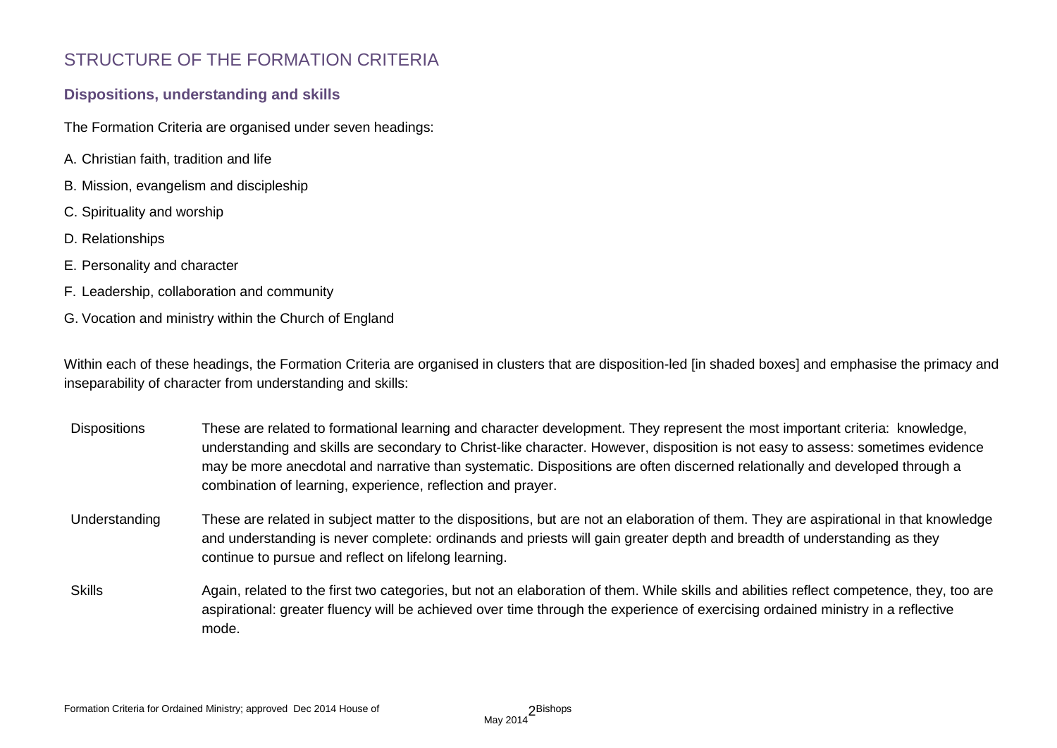### STRUCTURE OF THE FORMATION CRITERIA

### **Dispositions, understanding and skills**

The Formation Criteria are organised under seven headings:

- A. Christian faith, tradition and life
- B. Mission, evangelism and discipleship
- C. Spirituality and worship
- D. Relationships
- E. Personality and character
- F. Leadership, collaboration and community
- G. Vocation and ministry within the Church of England

Within each of these headings, the Formation Criteria are organised in clusters that are disposition-led [in shaded boxes] and emphasise the primacy and inseparability of character from understanding and skills:

- Dispositions These are related to formational learning and character development. They represent the most important criteria: knowledge, understanding and skills are secondary to Christ-like character. However, disposition is not easy to assess: sometimes evidence may be more anecdotal and narrative than systematic. Dispositions are often discerned relationally and developed through a combination of learning, experience, reflection and prayer.
- Understanding These are related in subject matter to the dispositions, but are not an elaboration of them. They are aspirational in that knowledge and understanding is never complete: ordinands and priests will gain greater depth and breadth of understanding as they continue to pursue and reflect on lifelong learning.
- Skills Again, related to the first two categories, but not an elaboration of them. While skills and abilities reflect competence, they, too are aspirational: greater fluency will be achieved over time through the experience of exercising ordained ministry in a reflective mode.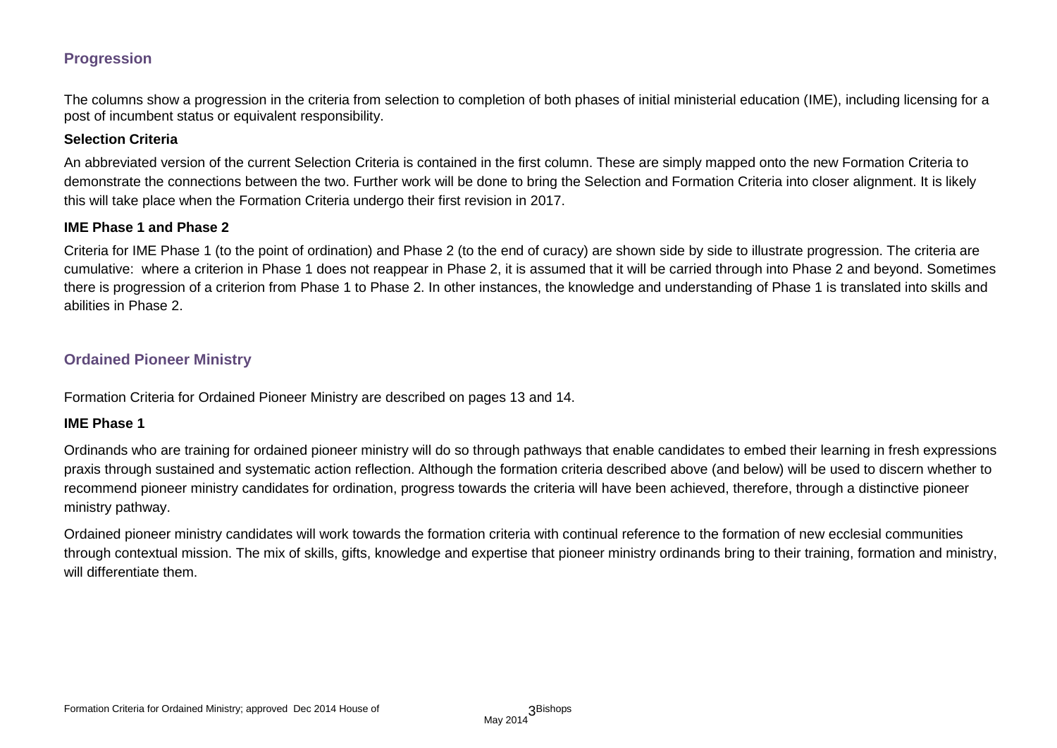### **Progression**

The columns show a progression in the criteria from selection to completion of both phases of initial ministerial education (IME), including licensing for a post of incumbent status or equivalent responsibility.

#### **Selection Criteria**

An abbreviated version of the current Selection Criteria is contained in the first column. These are simply mapped onto the new Formation Criteria to demonstrate the connections between the two. Further work will be done to bring the Selection and Formation Criteria into closer alignment. It is likely this will take place when the Formation Criteria undergo their first revision in 2017.

#### **IME Phase 1 and Phase 2**

Criteria for IME Phase 1 (to the point of ordination) and Phase 2 (to the end of curacy) are shown side by side to illustrate progression. The criteria are cumulative: where a criterion in Phase 1 does not reappear in Phase 2, it is assumed that it will be carried through into Phase 2 and beyond. Sometimes there is progression of a criterion from Phase 1 to Phase 2. In other instances, the knowledge and understanding of Phase 1 is translated into skills and abilities in Phase 2.

### **Ordained Pioneer Ministry**

Formation Criteria for Ordained Pioneer Ministry are described on pages 13 and 14.

#### **IME Phase 1**

Ordinands who are training for ordained pioneer ministry will do so through pathways that enable candidates to embed their learning in fresh expressions praxis through sustained and systematic action reflection. Although the formation criteria described above (and below) will be used to discern whether to recommend pioneer ministry candidates for ordination, progress towards the criteria will have been achieved, therefore, through a distinctive pioneer ministry pathway.

Ordained pioneer ministry candidates will work towards the formation criteria with continual reference to the formation of new ecclesial communities through contextual mission. The mix of skills, gifts, knowledge and expertise that pioneer ministry ordinands bring to their training, formation and ministry, will differentiate them.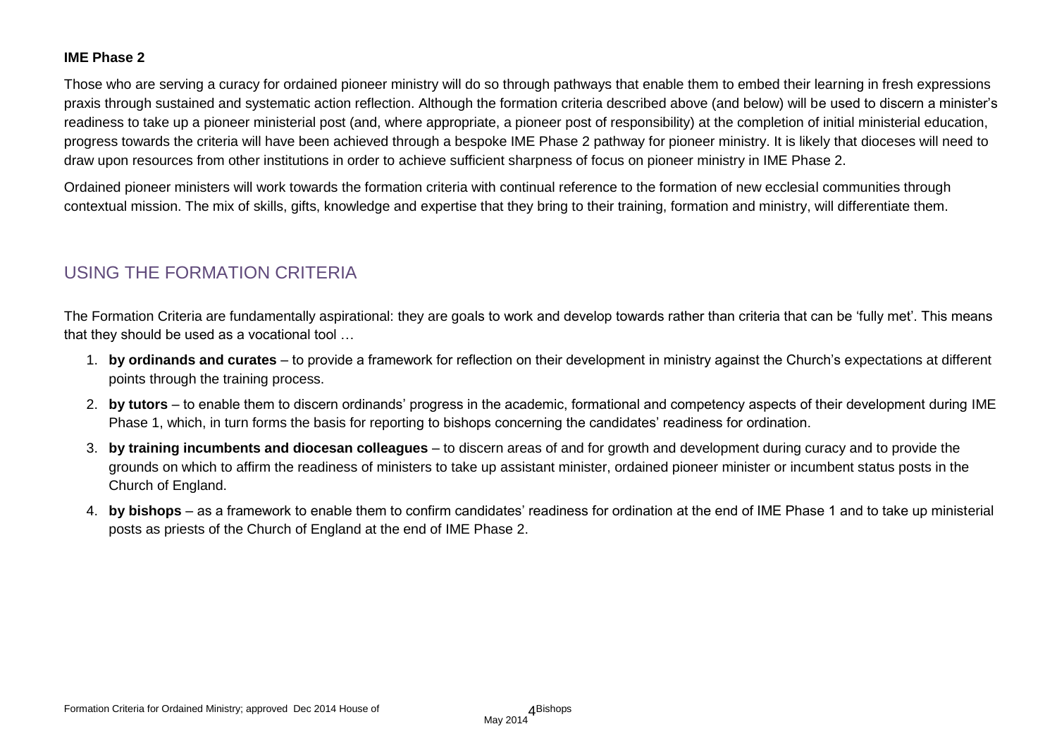### **IME Phase 2**

Those who are serving a curacy for ordained pioneer ministry will do so through pathways that enable them to embed their learning in fresh expressions praxis through sustained and systematic action reflection. Although the formation criteria described above (and below) will be used to discern a minister's readiness to take up a pioneer ministerial post (and, where appropriate, a pioneer post of responsibility) at the completion of initial ministerial education, progress towards the criteria will have been achieved through a bespoke IME Phase 2 pathway for pioneer ministry. It is likely that dioceses will need to draw upon resources from other institutions in order to achieve sufficient sharpness of focus on pioneer ministry in IME Phase 2.

Ordained pioneer ministers will work towards the formation criteria with continual reference to the formation of new ecclesial communities through contextual mission. The mix of skills, gifts, knowledge and expertise that they bring to their training, formation and ministry, will differentiate them.

### USING THE FORMATION CRITERIA

The Formation Criteria are fundamentally aspirational: they are goals to work and develop towards rather than criteria that can be 'fully met'. This means that they should be used as a vocational tool …

- 1. **by ordinands and curates** to provide a framework for reflection on their development in ministry against the Church's expectations at different points through the training process.
- 2. **by tutors** to enable them to discern ordinands' progress in the academic, formational and competency aspects of their development during IME Phase 1, which, in turn forms the basis for reporting to bishops concerning the candidates' readiness for ordination.
- 3. **by training incumbents and diocesan colleagues** to discern areas of and for growth and development during curacy and to provide the grounds on which to affirm the readiness of ministers to take up assistant minister, ordained pioneer minister or incumbent status posts in the Church of England.
- 4. **by bishops** as a framework to enable them to confirm candidates' readiness for ordination at the end of IME Phase 1 and to take up ministerial posts as priests of the Church of England at the end of IME Phase 2.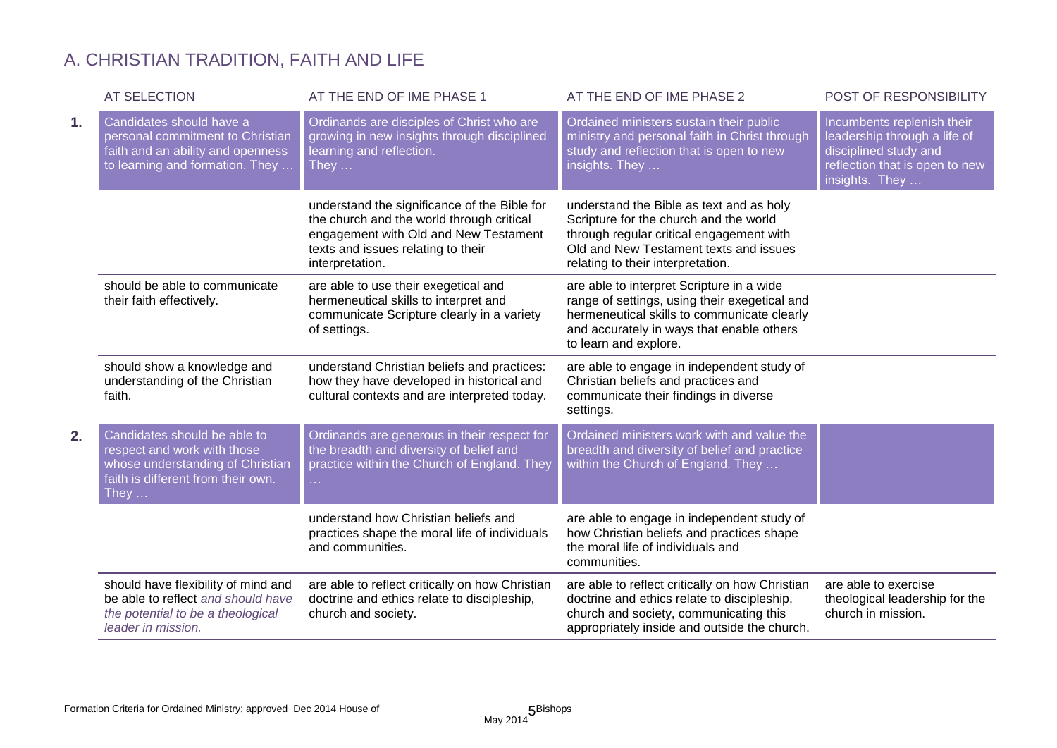# A. CHRISTIAN TRADITION, FAITH AND LIFE

|    | <b>AT SELECTION</b>                                                                                                                                   | AT THE END OF IME PHASE 1                                                                                                                                                                   | AT THE END OF IME PHASE 2                                                                                                                                                                                       | POST OF RESPONSIBILITY                                                                                                                  |
|----|-------------------------------------------------------------------------------------------------------------------------------------------------------|---------------------------------------------------------------------------------------------------------------------------------------------------------------------------------------------|-----------------------------------------------------------------------------------------------------------------------------------------------------------------------------------------------------------------|-----------------------------------------------------------------------------------------------------------------------------------------|
| 1. | Candidates should have a<br>personal commitment to Christian<br>faith and an ability and openness<br>to learning and formation. They                  | Ordinands are disciples of Christ who are<br>growing in new insights through disciplined<br>learning and reflection.<br>They $\dots$                                                        | Ordained ministers sustain their public<br>ministry and personal faith in Christ through<br>study and reflection that is open to new<br>insights. They                                                          | Incumbents replenish their<br>leadership through a life of<br>disciplined study and<br>reflection that is open to new<br>insights. They |
|    |                                                                                                                                                       | understand the significance of the Bible for<br>the church and the world through critical<br>engagement with Old and New Testament<br>texts and issues relating to their<br>interpretation. | understand the Bible as text and as holy<br>Scripture for the church and the world<br>through regular critical engagement with<br>Old and New Testament texts and issues<br>relating to their interpretation.   |                                                                                                                                         |
|    | should be able to communicate<br>their faith effectively.                                                                                             | are able to use their exegetical and<br>hermeneutical skills to interpret and<br>communicate Scripture clearly in a variety<br>of settings.                                                 | are able to interpret Scripture in a wide<br>range of settings, using their exegetical and<br>hermeneutical skills to communicate clearly<br>and accurately in ways that enable others<br>to learn and explore. |                                                                                                                                         |
|    | should show a knowledge and<br>understanding of the Christian<br>faith.                                                                               | understand Christian beliefs and practices:<br>how they have developed in historical and<br>cultural contexts and are interpreted today.                                                    | are able to engage in independent study of<br>Christian beliefs and practices and<br>communicate their findings in diverse<br>settings.                                                                         |                                                                                                                                         |
| 2. | Candidates should be able to<br>respect and work with those<br>whose understanding of Christian<br>faith is different from their own.<br>They $\dots$ | Ordinands are generous in their respect for<br>the breadth and diversity of belief and<br>practice within the Church of England. They<br>a.                                                 | Ordained ministers work with and value the<br>breadth and diversity of belief and practice<br>within the Church of England. They                                                                                |                                                                                                                                         |
|    |                                                                                                                                                       | understand how Christian beliefs and<br>practices shape the moral life of individuals<br>and communities.                                                                                   | are able to engage in independent study of<br>how Christian beliefs and practices shape<br>the moral life of individuals and<br>communities.                                                                    |                                                                                                                                         |
|    | should have flexibility of mind and<br>be able to reflect and should have<br>the potential to be a theological<br>leader in mission.                  | are able to reflect critically on how Christian<br>doctrine and ethics relate to discipleship,<br>church and society.                                                                       | are able to reflect critically on how Christian<br>doctrine and ethics relate to discipleship,<br>church and society, communicating this<br>appropriately inside and outside the church.                        | are able to exercise<br>theological leadership for the<br>church in mission.                                                            |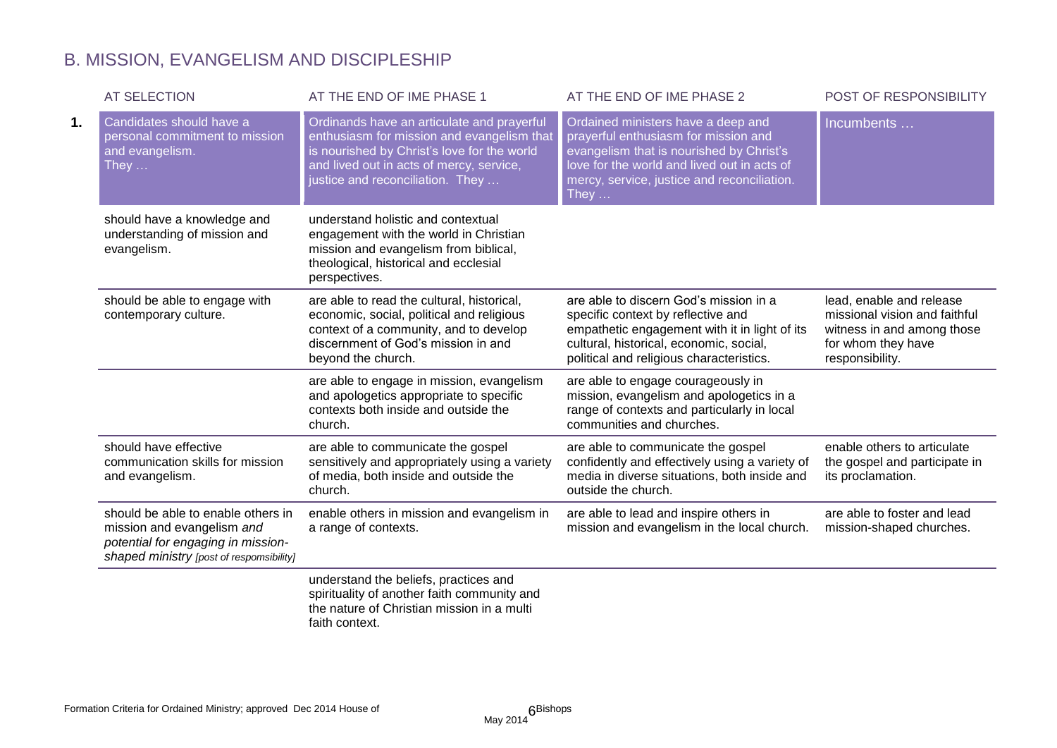# B. MISSION, EVANGELISM AND DISCIPLESHIP

|    | <b>AT SELECTION</b>                                                                                                                                | AT THE END OF IME PHASE 1                                                                                                                                                                                               | AT THE END OF IME PHASE 2                                                                                                                                                                                                            | POST OF RESPONSIBILITY                                                                                                           |
|----|----------------------------------------------------------------------------------------------------------------------------------------------------|-------------------------------------------------------------------------------------------------------------------------------------------------------------------------------------------------------------------------|--------------------------------------------------------------------------------------------------------------------------------------------------------------------------------------------------------------------------------------|----------------------------------------------------------------------------------------------------------------------------------|
| 1. | Candidates should have a<br>personal commitment to mission<br>and evangelism.<br>They $\dots$                                                      | Ordinands have an articulate and prayerful<br>enthusiasm for mission and evangelism that<br>is nourished by Christ's love for the world<br>and lived out in acts of mercy, service,<br>justice and reconciliation. They | Ordained ministers have a deep and<br>prayerful enthusiasm for mission and<br>evangelism that is nourished by Christ's<br>love for the world and lived out in acts of<br>mercy, service, justice and reconciliation.<br>They $\dots$ | Incumbents                                                                                                                       |
|    | should have a knowledge and<br>understanding of mission and<br>evangelism.                                                                         | understand holistic and contextual<br>engagement with the world in Christian<br>mission and evangelism from biblical,<br>theological, historical and ecclesial<br>perspectives.                                         |                                                                                                                                                                                                                                      |                                                                                                                                  |
|    | should be able to engage with<br>contemporary culture.                                                                                             | are able to read the cultural, historical,<br>economic, social, political and religious<br>context of a community, and to develop<br>discernment of God's mission in and<br>beyond the church.                          | are able to discern God's mission in a<br>specific context by reflective and<br>empathetic engagement with it in light of its<br>cultural, historical, economic, social,<br>political and religious characteristics.                 | lead, enable and release<br>missional vision and faithful<br>witness in and among those<br>for whom they have<br>responsibility. |
|    |                                                                                                                                                    | are able to engage in mission, evangelism<br>and apologetics appropriate to specific<br>contexts both inside and outside the<br>church.                                                                                 | are able to engage courageously in<br>mission, evangelism and apologetics in a<br>range of contexts and particularly in local<br>communities and churches.                                                                           |                                                                                                                                  |
|    | should have effective<br>communication skills for mission<br>and evangelism.                                                                       | are able to communicate the gospel<br>sensitively and appropriately using a variety<br>of media, both inside and outside the<br>church.                                                                                 | are able to communicate the gospel<br>confidently and effectively using a variety of<br>media in diverse situations, both inside and<br>outside the church.                                                                          | enable others to articulate<br>the gospel and participate in<br>its proclamation.                                                |
|    | should be able to enable others in<br>mission and evangelism and<br>potential for engaging in mission-<br>shaped ministry [post of respomsibility] | enable others in mission and evangelism in<br>a range of contexts.                                                                                                                                                      | are able to lead and inspire others in<br>mission and evangelism in the local church.                                                                                                                                                | are able to foster and lead<br>mission-shaped churches.                                                                          |
|    |                                                                                                                                                    | understand the beliefs, practices and<br>spirituality of another faith community and                                                                                                                                    |                                                                                                                                                                                                                                      |                                                                                                                                  |

the nature of Christian mission in a multi faith context.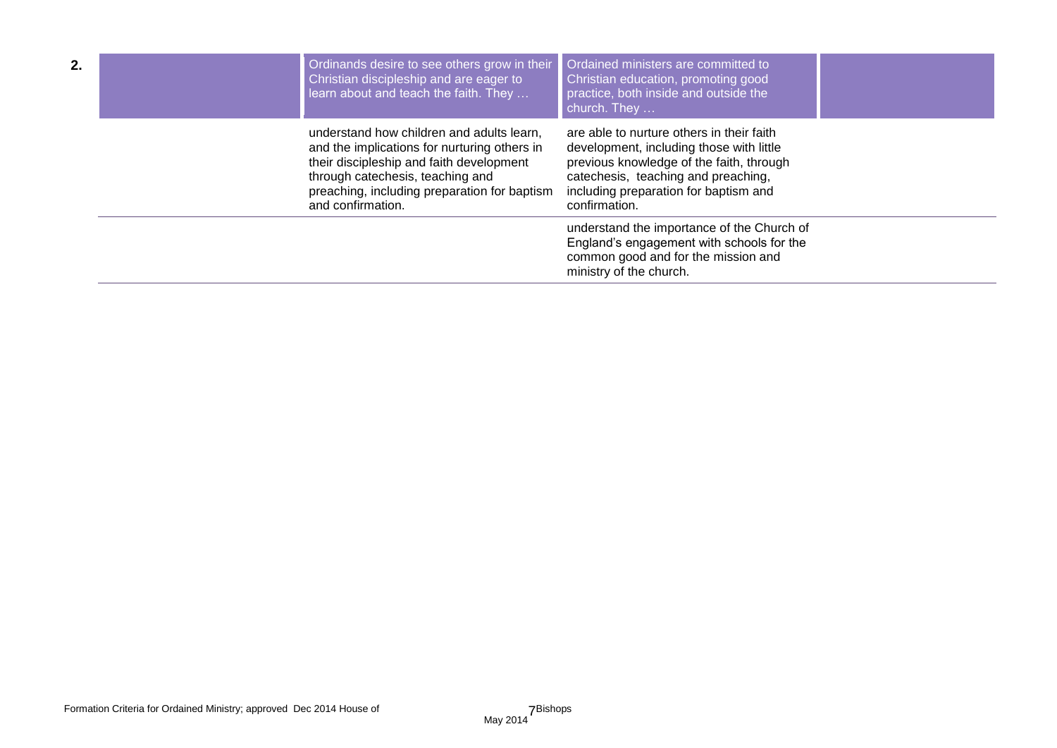| 2. | Ordinands desire to see others grow in their<br>Christian discipleship and are eager to<br>learn about and teach the faith. They                                                                                                               | Ordained ministers are committed to<br>Christian education, promoting good<br>practice, both inside and outside the<br>church. They                                                                                                |  |
|----|------------------------------------------------------------------------------------------------------------------------------------------------------------------------------------------------------------------------------------------------|------------------------------------------------------------------------------------------------------------------------------------------------------------------------------------------------------------------------------------|--|
|    | understand how children and adults learn.<br>and the implications for nurturing others in<br>their discipleship and faith development<br>through catechesis, teaching and<br>preaching, including preparation for baptism<br>and confirmation. | are able to nurture others in their faith<br>development, including those with little<br>previous knowledge of the faith, through<br>catechesis, teaching and preaching,<br>including preparation for baptism and<br>confirmation. |  |
|    |                                                                                                                                                                                                                                                | understand the importance of the Church of<br>England's engagement with schools for the<br>common good and for the mission and<br>ministry of the church.                                                                          |  |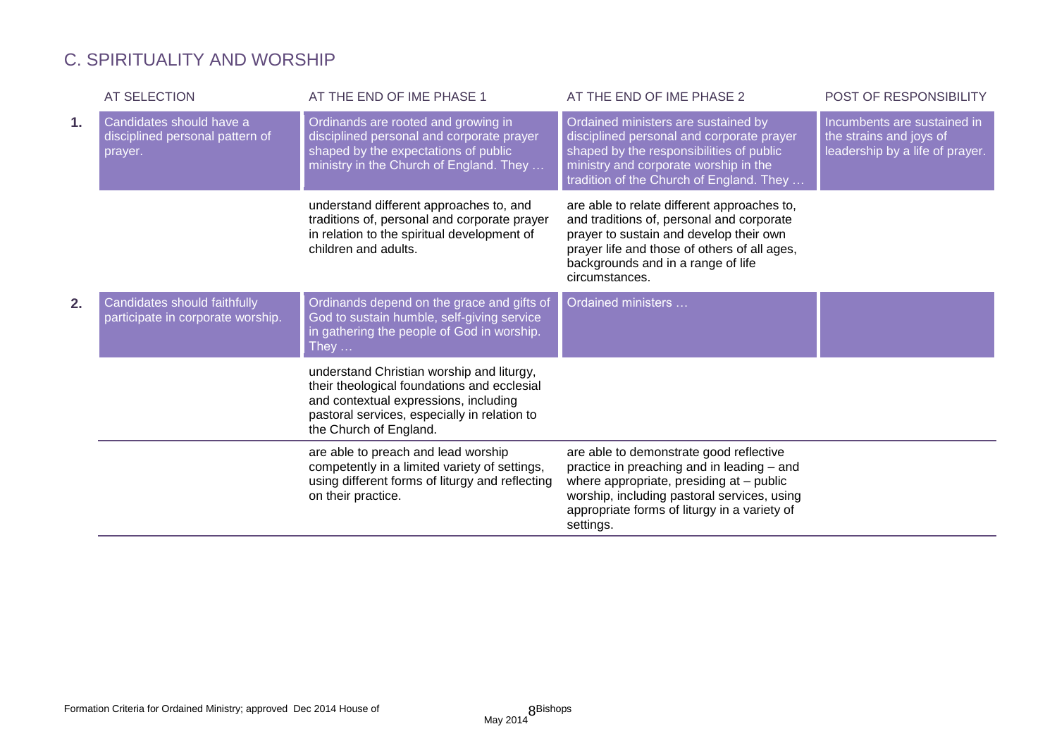# C. SPIRITUALITY AND WORSHIP

|    | <b>AT SELECTION</b>                                                    | AT THE END OF IME PHASE 1                                                                                                                                                                                   | AT THE END OF IME PHASE 2                                                                                                                                                                                                                     | POST OF RESPONSIBILITY                                                                    |
|----|------------------------------------------------------------------------|-------------------------------------------------------------------------------------------------------------------------------------------------------------------------------------------------------------|-----------------------------------------------------------------------------------------------------------------------------------------------------------------------------------------------------------------------------------------------|-------------------------------------------------------------------------------------------|
| 1. | Candidates should have a<br>disciplined personal pattern of<br>prayer. | Ordinands are rooted and growing in<br>disciplined personal and corporate prayer<br>shaped by the expectations of public<br>ministry in the Church of England. They                                         | Ordained ministers are sustained by<br>disciplined personal and corporate prayer<br>shaped by the responsibilities of public<br>ministry and corporate worship in the<br>tradition of the Church of England. They                             | Incumbents are sustained in<br>the strains and joys of<br>leadership by a life of prayer. |
|    |                                                                        | understand different approaches to, and<br>traditions of, personal and corporate prayer<br>in relation to the spiritual development of<br>children and adults.                                              | are able to relate different approaches to,<br>and traditions of, personal and corporate<br>prayer to sustain and develop their own<br>prayer life and those of others of all ages,<br>backgrounds and in a range of life<br>circumstances.   |                                                                                           |
| 2. | Candidates should faithfully<br>participate in corporate worship.      | Ordinands depend on the grace and gifts of<br>God to sustain humble, self-giving service<br>in gathering the people of God in worship.<br>They $\dots$                                                      | Ordained ministers                                                                                                                                                                                                                            |                                                                                           |
|    |                                                                        | understand Christian worship and liturgy,<br>their theological foundations and ecclesial<br>and contextual expressions, including<br>pastoral services, especially in relation to<br>the Church of England. |                                                                                                                                                                                                                                               |                                                                                           |
|    |                                                                        | are able to preach and lead worship<br>competently in a limited variety of settings,<br>using different forms of liturgy and reflecting<br>on their practice.                                               | are able to demonstrate good reflective<br>practice in preaching and in leading - and<br>where appropriate, presiding at - public<br>worship, including pastoral services, using<br>appropriate forms of liturgy in a variety of<br>settings. |                                                                                           |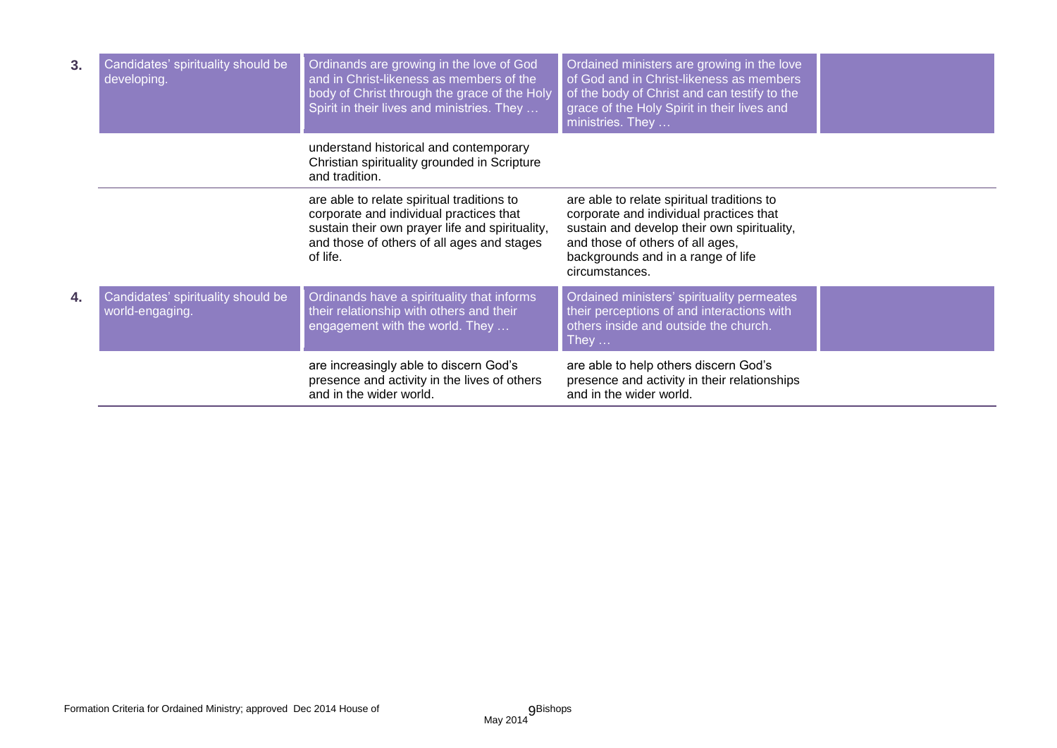| 3. | Candidates' spirituality should be<br>developing.     | Ordinands are growing in the love of God<br>and in Christ-likeness as members of the<br>body of Christ through the grace of the Holy<br>Spirit in their lives and ministries. They                 | Ordained ministers are growing in the love<br>of God and in Christ-likeness as members<br>of the body of Christ and can testify to the<br>grace of the Holy Spirit in their lives and<br>ministries. They                        |  |
|----|-------------------------------------------------------|----------------------------------------------------------------------------------------------------------------------------------------------------------------------------------------------------|----------------------------------------------------------------------------------------------------------------------------------------------------------------------------------------------------------------------------------|--|
|    |                                                       | understand historical and contemporary<br>Christian spirituality grounded in Scripture<br>and tradition.                                                                                           |                                                                                                                                                                                                                                  |  |
|    |                                                       | are able to relate spiritual traditions to<br>corporate and individual practices that<br>sustain their own prayer life and spirituality,<br>and those of others of all ages and stages<br>of life. | are able to relate spiritual traditions to<br>corporate and individual practices that<br>sustain and develop their own spirituality,<br>and those of others of all ages,<br>backgrounds and in a range of life<br>circumstances. |  |
| 4. | Candidates' spirituality should be<br>world-engaging. | Ordinands have a spirituality that informs<br>their relationship with others and their<br>engagement with the world. They                                                                          | Ordained ministers' spirituality permeates<br>their perceptions of and interactions with<br>others inside and outside the church.<br>${\sf True}$ y                                                                              |  |
|    |                                                       | are increasingly able to discern God's<br>presence and activity in the lives of others<br>and in the wider world.                                                                                  | are able to help others discern God's<br>presence and activity in their relationships<br>and in the wider world.                                                                                                                 |  |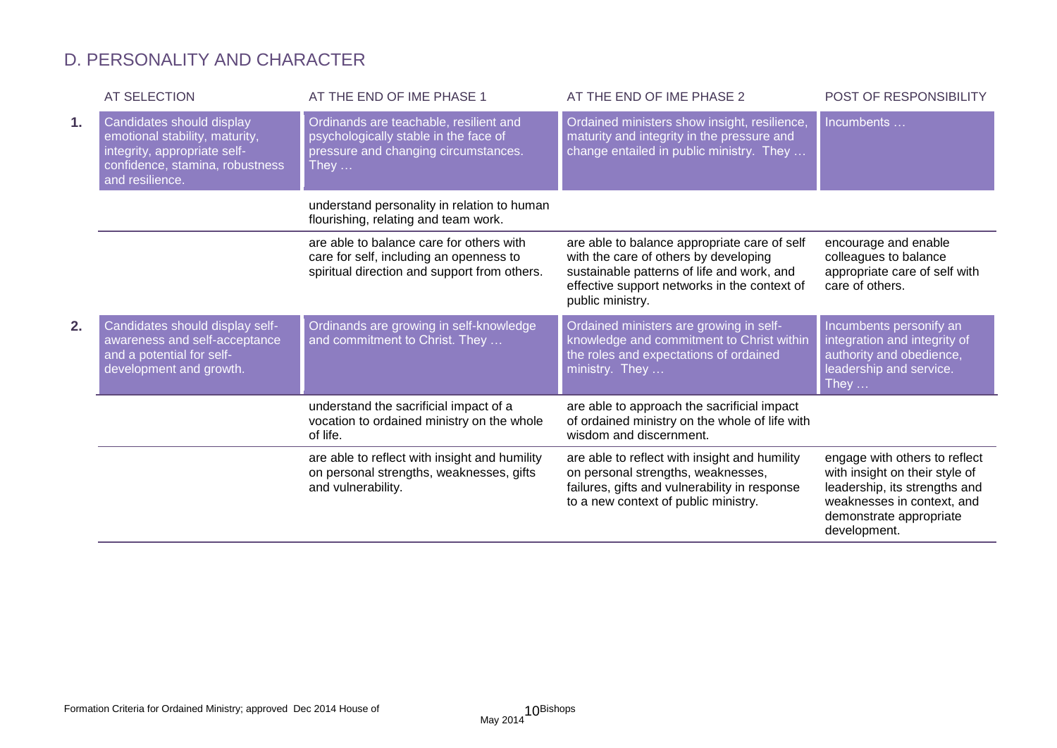### D. PERSONALITY AND CHARACTER

|    | <b>AT SELECTION</b>                                                                                                                               | AT THE END OF IME PHASE 1                                                                                                               | AT THE END OF IME PHASE 2                                                                                                                                                                               | POST OF RESPONSIBILITY                                                                                                                                                    |
|----|---------------------------------------------------------------------------------------------------------------------------------------------------|-----------------------------------------------------------------------------------------------------------------------------------------|---------------------------------------------------------------------------------------------------------------------------------------------------------------------------------------------------------|---------------------------------------------------------------------------------------------------------------------------------------------------------------------------|
| 1. | Candidates should display<br>emotional stability, maturity,<br>integrity, appropriate self-<br>confidence, stamina, robustness<br>and resilience. | Ordinands are teachable, resilient and<br>psychologically stable in the face of<br>pressure and changing circumstances.<br>They $\dots$ | Ordained ministers show insight, resilience,<br>maturity and integrity in the pressure and<br>change entailed in public ministry. They                                                                  | Incumbents                                                                                                                                                                |
|    |                                                                                                                                                   | understand personality in relation to human<br>flourishing, relating and team work.                                                     |                                                                                                                                                                                                         |                                                                                                                                                                           |
|    |                                                                                                                                                   | are able to balance care for others with<br>care for self, including an openness to<br>spiritual direction and support from others.     | are able to balance appropriate care of self<br>with the care of others by developing<br>sustainable patterns of life and work, and<br>effective support networks in the context of<br>public ministry. | encourage and enable<br>colleagues to balance<br>appropriate care of self with<br>care of others.                                                                         |
| 2. | Candidates should display self-<br>awareness and self-acceptance<br>and a potential for self-<br>development and growth.                          | Ordinands are growing in self-knowledge<br>and commitment to Christ. They                                                               | Ordained ministers are growing in self-<br>knowledge and commitment to Christ within<br>the roles and expectations of ordained<br>ministry. They                                                        | Incumbents personify an<br>integration and integrity of<br>authority and obedience,<br>leadership and service.<br>They $\dots$                                            |
|    |                                                                                                                                                   | understand the sacrificial impact of a<br>vocation to ordained ministry on the whole<br>of life.                                        | are able to approach the sacrificial impact<br>of ordained ministry on the whole of life with<br>wisdom and discernment.                                                                                |                                                                                                                                                                           |
|    |                                                                                                                                                   | are able to reflect with insight and humility<br>on personal strengths, weaknesses, gifts<br>and vulnerability.                         | are able to reflect with insight and humility<br>on personal strengths, weaknesses,<br>failures, gifts and vulnerability in response<br>to a new context of public ministry.                            | engage with others to reflect<br>with insight on their style of<br>leadership, its strengths and<br>weaknesses in context, and<br>demonstrate appropriate<br>development. |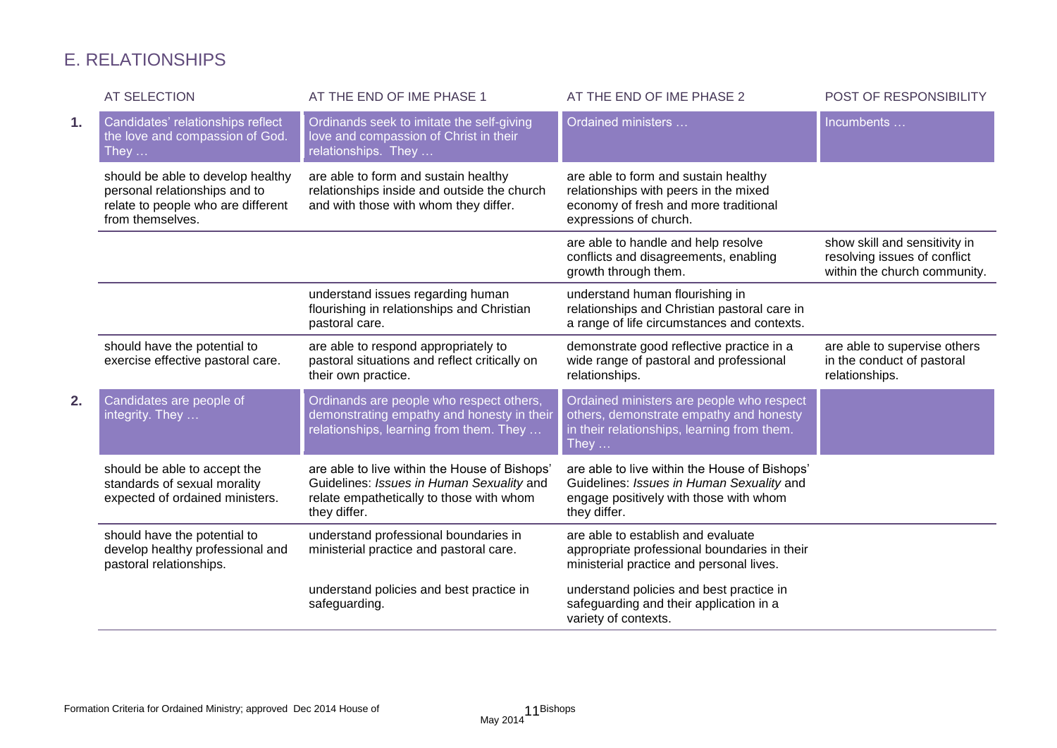# E. RELATIONSHIPS

|    | <b>AT SELECTION</b>                                                                                                          | AT THE END OF IME PHASE 1                                                                                                                              | AT THE END OF IME PHASE 2                                                                                                                            | POST OF RESPONSIBILITY                                                                        |
|----|------------------------------------------------------------------------------------------------------------------------------|--------------------------------------------------------------------------------------------------------------------------------------------------------|------------------------------------------------------------------------------------------------------------------------------------------------------|-----------------------------------------------------------------------------------------------|
| 1. | Candidates' relationships reflect<br>the love and compassion of God.<br>They $\dots$                                         | Ordinands seek to imitate the self-giving<br>love and compassion of Christ in their<br>relationships. They                                             | Ordained ministers                                                                                                                                   | Incumbents                                                                                    |
|    | should be able to develop healthy<br>personal relationships and to<br>relate to people who are different<br>from themselves. | are able to form and sustain healthy<br>relationships inside and outside the church<br>and with those with whom they differ.                           | are able to form and sustain healthy<br>relationships with peers in the mixed<br>economy of fresh and more traditional<br>expressions of church.     |                                                                                               |
|    |                                                                                                                              |                                                                                                                                                        | are able to handle and help resolve<br>conflicts and disagreements, enabling<br>growth through them.                                                 | show skill and sensitivity in<br>resolving issues of conflict<br>within the church community. |
|    |                                                                                                                              | understand issues regarding human<br>flourishing in relationships and Christian<br>pastoral care.                                                      | understand human flourishing in<br>relationships and Christian pastoral care in<br>a range of life circumstances and contexts.                       |                                                                                               |
|    | should have the potential to<br>exercise effective pastoral care.                                                            | are able to respond appropriately to<br>pastoral situations and reflect critically on<br>their own practice.                                           | demonstrate good reflective practice in a<br>wide range of pastoral and professional<br>relationships.                                               | are able to supervise others<br>in the conduct of pastoral<br>relationships.                  |
| 2. | Candidates are people of<br>integrity. They                                                                                  | Ordinands are people who respect others,<br>demonstrating empathy and honesty in their<br>relationships, learning from them. They                      | Ordained ministers are people who respect<br>others, demonstrate empathy and honesty<br>in their relationships, learning from them.<br>They $\dots$  |                                                                                               |
|    | should be able to accept the<br>standards of sexual morality<br>expected of ordained ministers.                              | are able to live within the House of Bishops'<br>Guidelines: Issues in Human Sexuality and<br>relate empathetically to those with whom<br>they differ. | are able to live within the House of Bishops'<br>Guidelines: Issues in Human Sexuality and<br>engage positively with those with whom<br>they differ. |                                                                                               |
|    | should have the potential to<br>develop healthy professional and<br>pastoral relationships.                                  | understand professional boundaries in<br>ministerial practice and pastoral care.                                                                       | are able to establish and evaluate<br>appropriate professional boundaries in their<br>ministerial practice and personal lives.                       |                                                                                               |
|    |                                                                                                                              | understand policies and best practice in<br>safeguarding.                                                                                              | understand policies and best practice in<br>safeguarding and their application in a<br>variety of contexts.                                          |                                                                                               |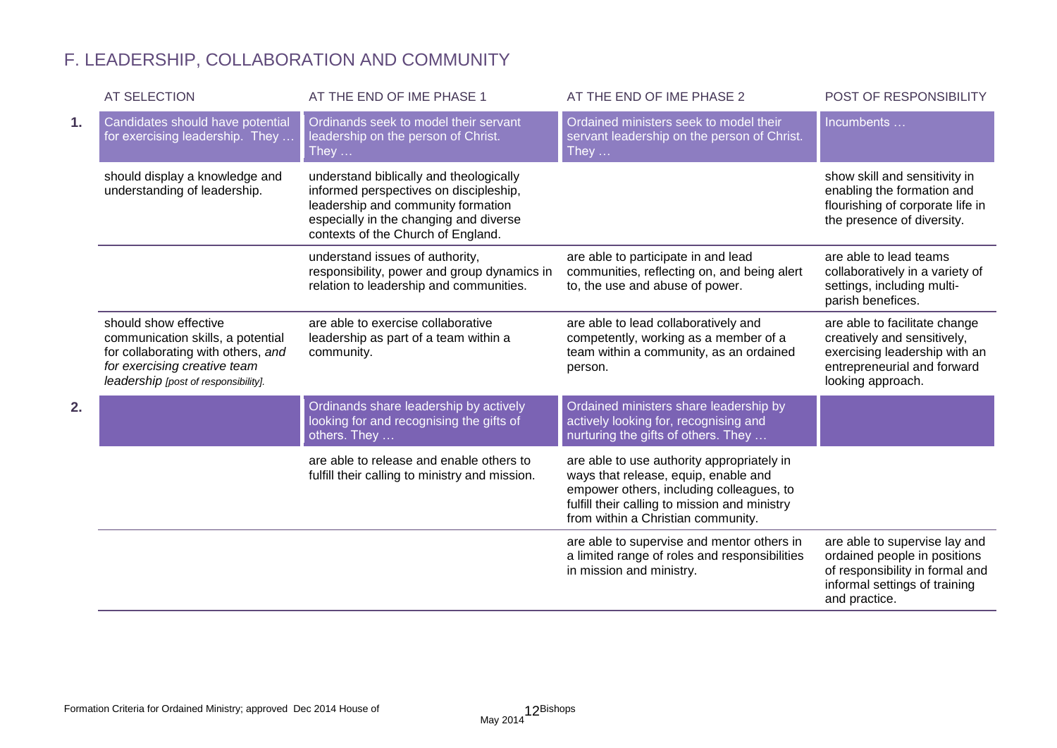# F. LEADERSHIP, COLLABORATION AND COMMUNITY

|    | <b>AT SELECTION</b>                                                                                                                                                      | AT THE END OF IME PHASE 1                                                                                                                                                                               | AT THE END OF IME PHASE 2                                                                                                                                                                                             | POST OF RESPONSIBILITY                                                                                                                             |
|----|--------------------------------------------------------------------------------------------------------------------------------------------------------------------------|---------------------------------------------------------------------------------------------------------------------------------------------------------------------------------------------------------|-----------------------------------------------------------------------------------------------------------------------------------------------------------------------------------------------------------------------|----------------------------------------------------------------------------------------------------------------------------------------------------|
| 1. | Candidates should have potential<br>for exercising leadership. They                                                                                                      | Ordinands seek to model their servant<br>leadership on the person of Christ.<br>They $\dots$                                                                                                            | Ordained ministers seek to model their<br>servant leadership on the person of Christ.<br>They $\dots$                                                                                                                 | Incumbents                                                                                                                                         |
|    | should display a knowledge and<br>understanding of leadership.                                                                                                           | understand biblically and theologically<br>informed perspectives on discipleship,<br>leadership and community formation<br>especially in the changing and diverse<br>contexts of the Church of England. |                                                                                                                                                                                                                       | show skill and sensitivity in<br>enabling the formation and<br>flourishing of corporate life in<br>the presence of diversity.                      |
|    |                                                                                                                                                                          | understand issues of authority,<br>responsibility, power and group dynamics in<br>relation to leadership and communities.                                                                               | are able to participate in and lead<br>communities, reflecting on, and being alert<br>to, the use and abuse of power.                                                                                                 | are able to lead teams<br>collaboratively in a variety of<br>settings, including multi-<br>parish benefices.                                       |
|    | should show effective<br>communication skills, a potential<br>for collaborating with others, and<br>for exercising creative team<br>leadership [post of responsibility]. | are able to exercise collaborative<br>leadership as part of a team within a<br>community.                                                                                                               | are able to lead collaboratively and<br>competently, working as a member of a<br>team within a community, as an ordained<br>person.                                                                                   | are able to facilitate change<br>creatively and sensitively,<br>exercising leadership with an<br>entrepreneurial and forward<br>looking approach.  |
| 2. |                                                                                                                                                                          | Ordinands share leadership by actively<br>looking for and recognising the gifts of<br>others. They                                                                                                      | Ordained ministers share leadership by<br>actively looking for, recognising and<br>nurturing the gifts of others. They                                                                                                |                                                                                                                                                    |
|    |                                                                                                                                                                          | are able to release and enable others to<br>fulfill their calling to ministry and mission.                                                                                                              | are able to use authority appropriately in<br>ways that release, equip, enable and<br>empower others, including colleagues, to<br>fulfill their calling to mission and ministry<br>from within a Christian community. |                                                                                                                                                    |
|    |                                                                                                                                                                          |                                                                                                                                                                                                         | are able to supervise and mentor others in<br>a limited range of roles and responsibilities<br>in mission and ministry.                                                                                               | are able to supervise lay and<br>ordained people in positions<br>of responsibility in formal and<br>informal settings of training<br>and practice. |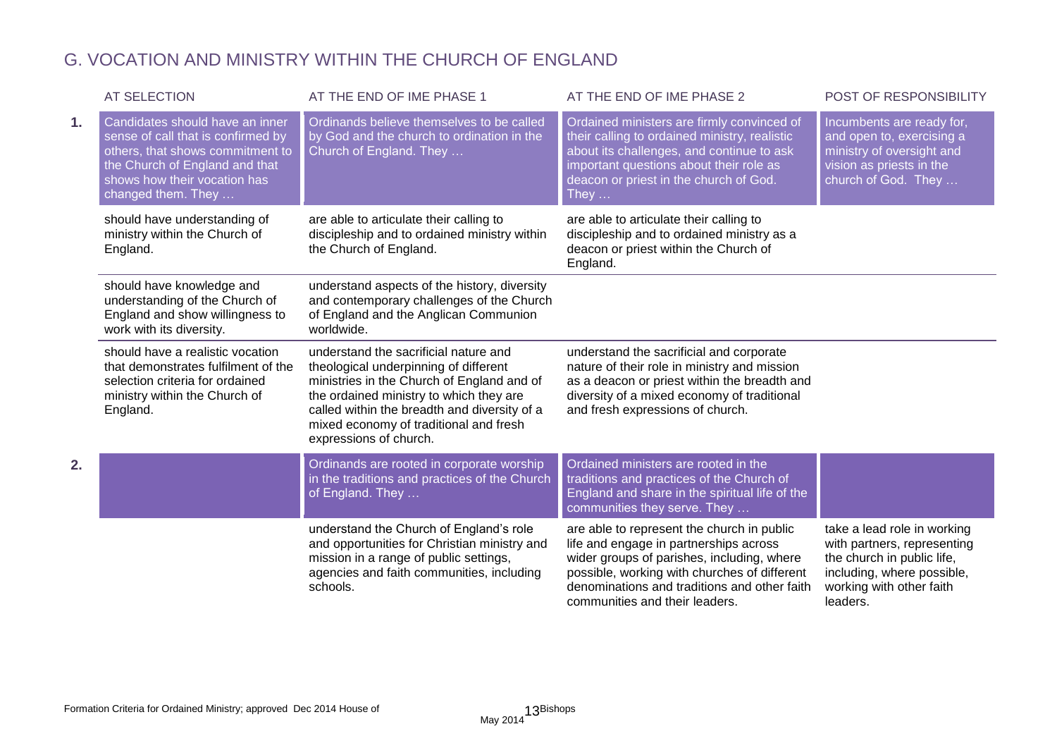# G. VOCATION AND MINISTRY WITHIN THE CHURCH OF ENGLAND

|    | <b>AT SELECTION</b>                                                                                                                                                                               | AT THE END OF IME PHASE 1                                                                                                                                                                                                                                                                   | AT THE END OF IME PHASE 2                                                                                                                                                                                                                                            | POST OF RESPONSIBILITY                                                                                                                                         |
|----|---------------------------------------------------------------------------------------------------------------------------------------------------------------------------------------------------|---------------------------------------------------------------------------------------------------------------------------------------------------------------------------------------------------------------------------------------------------------------------------------------------|----------------------------------------------------------------------------------------------------------------------------------------------------------------------------------------------------------------------------------------------------------------------|----------------------------------------------------------------------------------------------------------------------------------------------------------------|
| 1. | Candidates should have an inner<br>sense of call that is confirmed by<br>others, that shows commitment to<br>the Church of England and that<br>shows how their vocation has<br>changed them. They | Ordinands believe themselves to be called<br>by God and the church to ordination in the<br>Church of England. They                                                                                                                                                                          | Ordained ministers are firmly convinced of<br>their calling to ordained ministry, realistic<br>about its challenges, and continue to ask<br>important questions about their role as<br>deacon or priest in the church of God.<br>They …                              | Incumbents are ready for,<br>and open to, exercising a<br>ministry of oversight and<br>vision as priests in the<br>church of God. They                         |
|    | should have understanding of<br>ministry within the Church of<br>England.                                                                                                                         | are able to articulate their calling to<br>discipleship and to ordained ministry within<br>the Church of England.                                                                                                                                                                           | are able to articulate their calling to<br>discipleship and to ordained ministry as a<br>deacon or priest within the Church of<br>England.                                                                                                                           |                                                                                                                                                                |
|    | should have knowledge and<br>understanding of the Church of<br>England and show willingness to<br>work with its diversity.                                                                        | understand aspects of the history, diversity<br>and contemporary challenges of the Church<br>of England and the Anglican Communion<br>worldwide.                                                                                                                                            |                                                                                                                                                                                                                                                                      |                                                                                                                                                                |
|    | should have a realistic vocation<br>that demonstrates fulfilment of the<br>selection criteria for ordained<br>ministry within the Church of<br>England.                                           | understand the sacrificial nature and<br>theological underpinning of different<br>ministries in the Church of England and of<br>the ordained ministry to which they are<br>called within the breadth and diversity of a<br>mixed economy of traditional and fresh<br>expressions of church. | understand the sacrificial and corporate<br>nature of their role in ministry and mission<br>as a deacon or priest within the breadth and<br>diversity of a mixed economy of traditional<br>and fresh expressions of church.                                          |                                                                                                                                                                |
| 2. |                                                                                                                                                                                                   | Ordinands are rooted in corporate worship<br>in the traditions and practices of the Church<br>of England. They                                                                                                                                                                              | Ordained ministers are rooted in the<br>traditions and practices of the Church of<br>England and share in the spiritual life of the<br>communities they serve. They                                                                                                  |                                                                                                                                                                |
|    |                                                                                                                                                                                                   | understand the Church of England's role<br>and opportunities for Christian ministry and<br>mission in a range of public settings,<br>agencies and faith communities, including<br>schools.                                                                                                  | are able to represent the church in public<br>life and engage in partnerships across<br>wider groups of parishes, including, where<br>possible, working with churches of different<br>denominations and traditions and other faith<br>communities and their leaders. | take a lead role in working<br>with partners, representing<br>the church in public life,<br>including, where possible,<br>working with other faith<br>leaders. |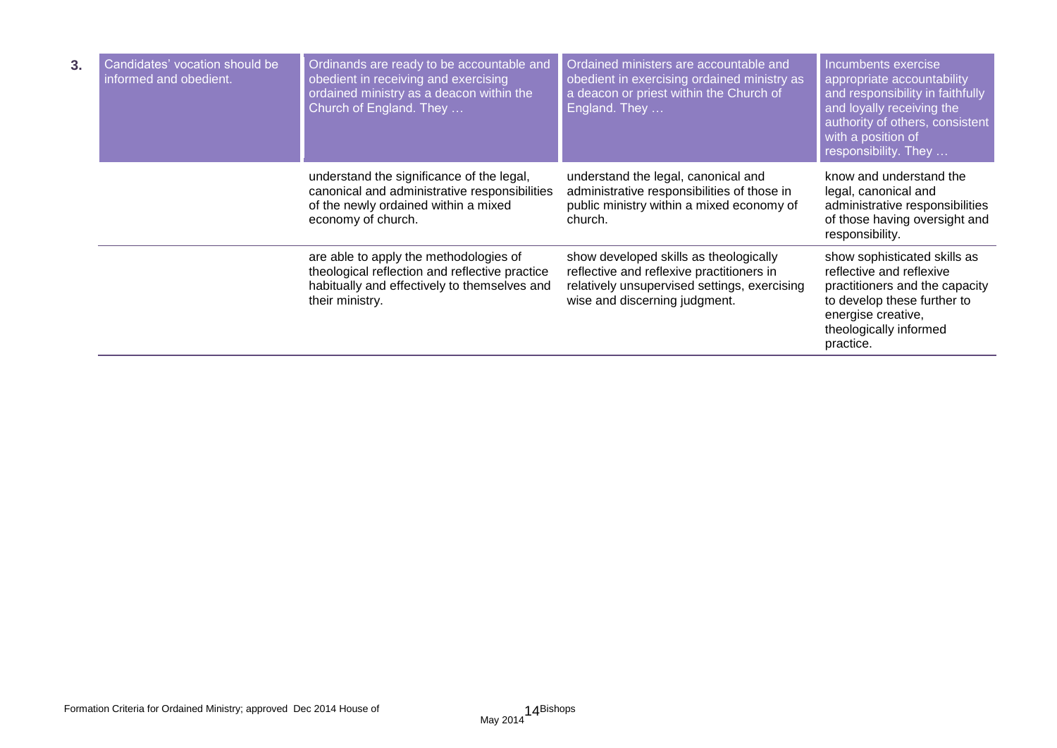| 3. | Candidates' vocation should be<br>informed and obedient. | Ordinands are ready to be accountable and<br>obedient in receiving and exercising<br>ordained ministry as a deacon within the<br>Church of England. They    | Ordained ministers are accountable and<br>obedient in exercising ordained ministry as<br>a deacon or priest within the Church of<br>England. They                    | Incumbents exercise<br>appropriate accountability<br>and responsibility in faithfully<br>and loyally receiving the<br>authority of others, consistent<br>with a position of<br>responsibility. They |
|----|----------------------------------------------------------|-------------------------------------------------------------------------------------------------------------------------------------------------------------|----------------------------------------------------------------------------------------------------------------------------------------------------------------------|-----------------------------------------------------------------------------------------------------------------------------------------------------------------------------------------------------|
|    |                                                          | understand the significance of the legal,<br>canonical and administrative responsibilities<br>of the newly ordained within a mixed<br>economy of church.    | understand the legal, canonical and<br>administrative responsibilities of those in<br>public ministry within a mixed economy of<br>church.                           | know and understand the<br>legal, canonical and<br>administrative responsibilities<br>of those having oversight and<br>responsibility.                                                              |
|    |                                                          | are able to apply the methodologies of<br>theological reflection and reflective practice<br>habitually and effectively to themselves and<br>their ministry. | show developed skills as theologically<br>reflective and reflexive practitioners in<br>relatively unsupervised settings, exercising<br>wise and discerning judgment. | show sophisticated skills as<br>reflective and reflexive<br>practitioners and the capacity<br>to develop these further to<br>energise creative,<br>theologically informed<br>practice.              |